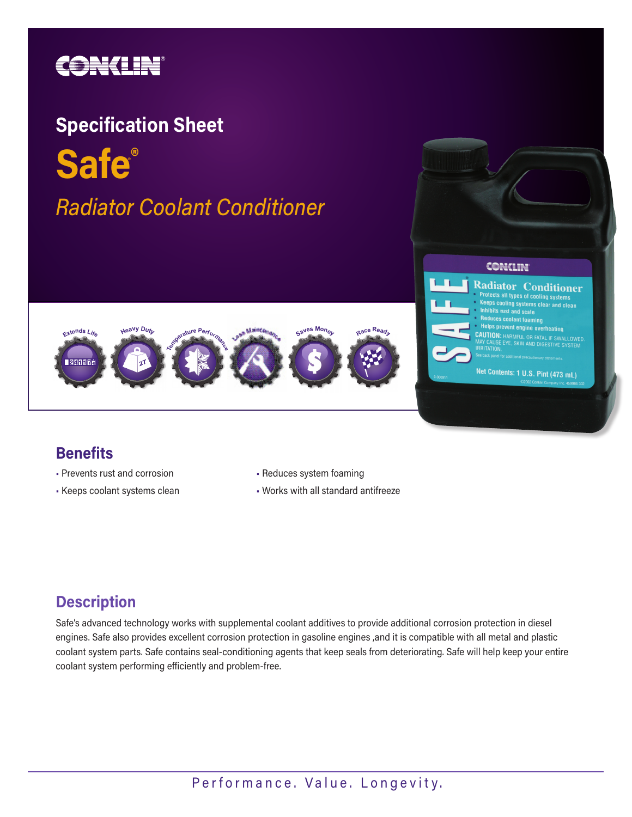

# **Safe®** *Radiator Coolant Conditioner* ®





- Prevents rust and corrosion
- Keeps coolant systems clean
- Reduces system foaming
- Works with all standard antifreeze

CONCLIN

**Radiator Conditioner** rotects all types of cooling systems <sup>1s cooling</sup> systems clear and clean

#### **Description**

Safe's advanced technology works with supplemental coolant additives to provide additional corrosion protection in diesel engines. Safe also provides excellent corrosion protection in gasoline engines ,and it is compatible with all metal and plastic coolant system parts. Safe contains seal-conditioning agents that keep seals from deteriorating. Safe will help keep your entire coolant system performing efficiently and problem-free.